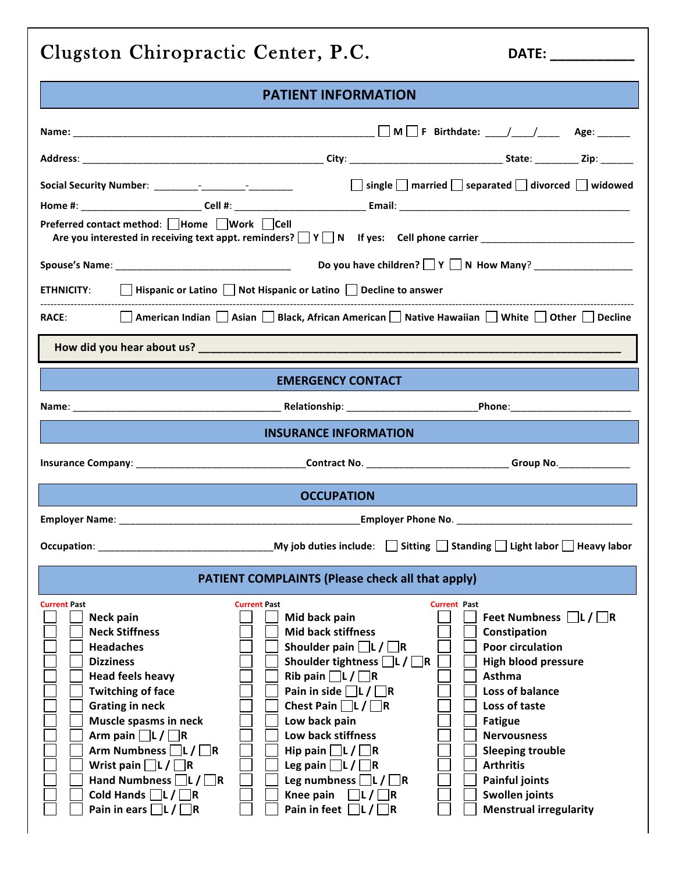| Clugston Chiropractic Center, P.C.                                                                                                                                                                                                                                                                                                                                                                               |                                                                                                                                                                                                                                                                                                                                                                                                                                                 | DATE: _____________                                                                                                                                                                                                                                                                                                                              |
|------------------------------------------------------------------------------------------------------------------------------------------------------------------------------------------------------------------------------------------------------------------------------------------------------------------------------------------------------------------------------------------------------------------|-------------------------------------------------------------------------------------------------------------------------------------------------------------------------------------------------------------------------------------------------------------------------------------------------------------------------------------------------------------------------------------------------------------------------------------------------|--------------------------------------------------------------------------------------------------------------------------------------------------------------------------------------------------------------------------------------------------------------------------------------------------------------------------------------------------|
|                                                                                                                                                                                                                                                                                                                                                                                                                  | <b>PATIENT INFORMATION</b>                                                                                                                                                                                                                                                                                                                                                                                                                      |                                                                                                                                                                                                                                                                                                                                                  |
|                                                                                                                                                                                                                                                                                                                                                                                                                  |                                                                                                                                                                                                                                                                                                                                                                                                                                                 |                                                                                                                                                                                                                                                                                                                                                  |
|                                                                                                                                                                                                                                                                                                                                                                                                                  |                                                                                                                                                                                                                                                                                                                                                                                                                                                 |                                                                                                                                                                                                                                                                                                                                                  |
|                                                                                                                                                                                                                                                                                                                                                                                                                  |                                                                                                                                                                                                                                                                                                                                                                                                                                                 | $\Box$ single $\Box$ married $\Box$ separated $\Box$ divorced $\Box$ widowed                                                                                                                                                                                                                                                                     |
| Preferred contact method: $\Box$ Home $\Box$ Work $\Box$ Cell                                                                                                                                                                                                                                                                                                                                                    |                                                                                                                                                                                                                                                                                                                                                                                                                                                 |                                                                                                                                                                                                                                                                                                                                                  |
|                                                                                                                                                                                                                                                                                                                                                                                                                  |                                                                                                                                                                                                                                                                                                                                                                                                                                                 |                                                                                                                                                                                                                                                                                                                                                  |
|                                                                                                                                                                                                                                                                                                                                                                                                                  | ETHNICITY: $\Box$ Hispanic or Latino $\Box$ Not Hispanic or Latino $\Box$ Decline to answer                                                                                                                                                                                                                                                                                                                                                     |                                                                                                                                                                                                                                                                                                                                                  |
| RACE: and the state of the state of the state of the state of the state of the state of the state of the state of the state of the state of the state of the state of the state of the state of the state of the state of the                                                                                                                                                                                    | American Indian Asian Black, African American Native Hawaiian White Other Decline                                                                                                                                                                                                                                                                                                                                                               |                                                                                                                                                                                                                                                                                                                                                  |
|                                                                                                                                                                                                                                                                                                                                                                                                                  |                                                                                                                                                                                                                                                                                                                                                                                                                                                 |                                                                                                                                                                                                                                                                                                                                                  |
|                                                                                                                                                                                                                                                                                                                                                                                                                  | <b>EMERGENCY CONTACT</b>                                                                                                                                                                                                                                                                                                                                                                                                                        |                                                                                                                                                                                                                                                                                                                                                  |
|                                                                                                                                                                                                                                                                                                                                                                                                                  |                                                                                                                                                                                                                                                                                                                                                                                                                                                 |                                                                                                                                                                                                                                                                                                                                                  |
|                                                                                                                                                                                                                                                                                                                                                                                                                  | <b>INSURANCE INFORMATION</b>                                                                                                                                                                                                                                                                                                                                                                                                                    |                                                                                                                                                                                                                                                                                                                                                  |
|                                                                                                                                                                                                                                                                                                                                                                                                                  |                                                                                                                                                                                                                                                                                                                                                                                                                                                 |                                                                                                                                                                                                                                                                                                                                                  |
|                                                                                                                                                                                                                                                                                                                                                                                                                  | <b>OCCUPATION</b>                                                                                                                                                                                                                                                                                                                                                                                                                               |                                                                                                                                                                                                                                                                                                                                                  |
|                                                                                                                                                                                                                                                                                                                                                                                                                  |                                                                                                                                                                                                                                                                                                                                                                                                                                                 |                                                                                                                                                                                                                                                                                                                                                  |
| Occupation:                                                                                                                                                                                                                                                                                                                                                                                                      | My job duties include:                                                                                                                                                                                                                                                                                                                                                                                                                          | Sitting Standing Light labor Heavy labor                                                                                                                                                                                                                                                                                                         |
|                                                                                                                                                                                                                                                                                                                                                                                                                  | <b>PATIENT COMPLAINTS (Please check all that apply)</b>                                                                                                                                                                                                                                                                                                                                                                                         |                                                                                                                                                                                                                                                                                                                                                  |
| <b>Current Past</b><br>Neck pain<br><b>Neck Stiffness</b><br><b>Headaches</b><br><b>Dizziness</b><br><b>Head feels heavy</b><br><b>Twitching of face</b><br><b>Grating in neck</b><br>Muscle spasms in neck<br>Arm pain $\Box L / \Box R$<br>Arm Numbness $\Box L / \Box R$<br>Wrist pain $\Box L / \Box R$<br>Hand Numbness $\Box L / \Box R$<br>Cold Hands $\Box L / \Box R$<br>Pain in ears $\Box L / \Box R$ | <b>Current Past</b><br>Mid back pain<br><b>Mid back stiffness</b><br>Shoulder pain $\Box L / \Box R$<br>Shoulder tightness $\Box L / \Box R$<br>Rib pain $\Box L / \Box R$<br>Pain in side $\Box L / \Box R$<br>Chest Pain $\Box L / \Box R$<br>Low back pain<br>Low back stiffness<br>Hip pain $\Box L / \Box R$<br>Leg pain $\Box L / \Box R$<br>Leg numbness $\Box L / \Box R$<br>Knee pain<br>$ L/ $ $ R$<br>Pain in feet $\Box L / \Box R$ | <b>Current Past</b><br>Feet Numbness $\Box L / \Box R$<br>Constipation<br><b>Poor circulation</b><br><b>High blood pressure</b><br>Asthma<br>Loss of balance<br>Loss of taste<br><b>Fatigue</b><br><b>Nervousness</b><br><b>Sleeping trouble</b><br><b>Arthritis</b><br><b>Painful joints</b><br>Swollen joints<br><b>Menstrual irregularity</b> |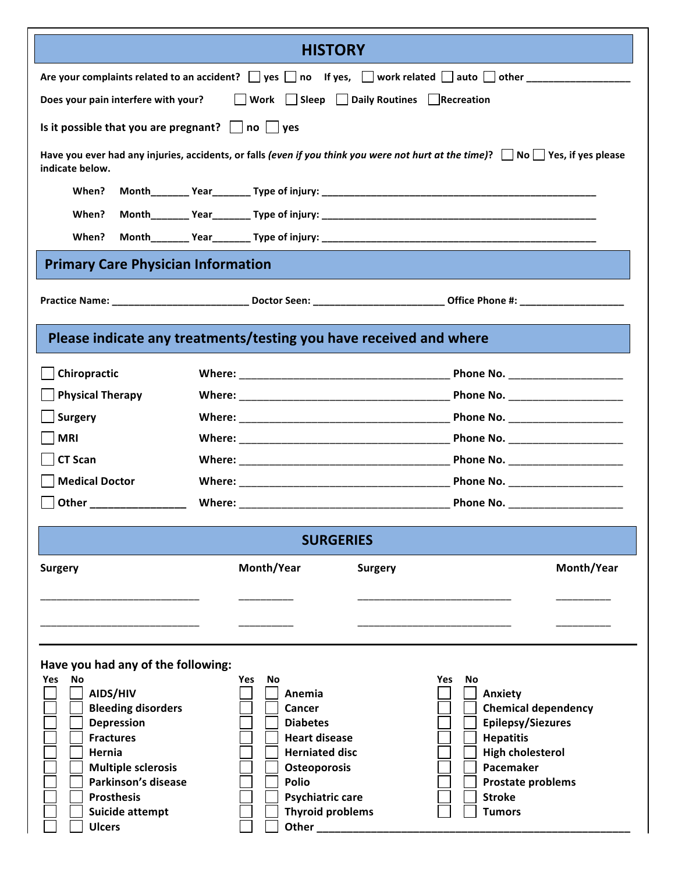|                                                                                                                                                                                                                                                          | <b>HISTORY</b>                                                                                                                                                                                                                      |                                                                                                                                                                                            |  |  |  |  |  |  |
|----------------------------------------------------------------------------------------------------------------------------------------------------------------------------------------------------------------------------------------------------------|-------------------------------------------------------------------------------------------------------------------------------------------------------------------------------------------------------------------------------------|--------------------------------------------------------------------------------------------------------------------------------------------------------------------------------------------|--|--|--|--|--|--|
|                                                                                                                                                                                                                                                          |                                                                                                                                                                                                                                     |                                                                                                                                                                                            |  |  |  |  |  |  |
| Work Sleep Daily Routines Recreation<br>Does your pain interfere with your?                                                                                                                                                                              |                                                                                                                                                                                                                                     |                                                                                                                                                                                            |  |  |  |  |  |  |
| Is it possible that you are pregnant? $\Box$ no $\Box$ yes                                                                                                                                                                                               |                                                                                                                                                                                                                                     |                                                                                                                                                                                            |  |  |  |  |  |  |
| indicate below.                                                                                                                                                                                                                                          | Have you ever had any injuries, accidents, or falls (even if you think you were not hurt at the time)? $\Box$ No $\Box$ Yes, if yes please                                                                                          |                                                                                                                                                                                            |  |  |  |  |  |  |
| When?                                                                                                                                                                                                                                                    |                                                                                                                                                                                                                                     |                                                                                                                                                                                            |  |  |  |  |  |  |
| When?                                                                                                                                                                                                                                                    |                                                                                                                                                                                                                                     |                                                                                                                                                                                            |  |  |  |  |  |  |
| When?                                                                                                                                                                                                                                                    |                                                                                                                                                                                                                                     |                                                                                                                                                                                            |  |  |  |  |  |  |
| <b>Primary Care Physician Information</b>                                                                                                                                                                                                                |                                                                                                                                                                                                                                     |                                                                                                                                                                                            |  |  |  |  |  |  |
|                                                                                                                                                                                                                                                          |                                                                                                                                                                                                                                     |                                                                                                                                                                                            |  |  |  |  |  |  |
|                                                                                                                                                                                                                                                          | Please indicate any treatments/testing you have received and where                                                                                                                                                                  |                                                                                                                                                                                            |  |  |  |  |  |  |
| Chiropractic                                                                                                                                                                                                                                             |                                                                                                                                                                                                                                     |                                                                                                                                                                                            |  |  |  |  |  |  |
| <b>Physical Therapy</b>                                                                                                                                                                                                                                  |                                                                                                                                                                                                                                     |                                                                                                                                                                                            |  |  |  |  |  |  |
| <b>Surgery</b>                                                                                                                                                                                                                                           |                                                                                                                                                                                                                                     |                                                                                                                                                                                            |  |  |  |  |  |  |
| <b>MRI</b>                                                                                                                                                                                                                                               |                                                                                                                                                                                                                                     |                                                                                                                                                                                            |  |  |  |  |  |  |
| <b>CT Scan</b>                                                                                                                                                                                                                                           |                                                                                                                                                                                                                                     |                                                                                                                                                                                            |  |  |  |  |  |  |
| <b>Medical Doctor</b>                                                                                                                                                                                                                                    |                                                                                                                                                                                                                                     |                                                                                                                                                                                            |  |  |  |  |  |  |
| Other __________                                                                                                                                                                                                                                         |                                                                                                                                                                                                                                     |                                                                                                                                                                                            |  |  |  |  |  |  |
|                                                                                                                                                                                                                                                          | <b>SURGERIES</b>                                                                                                                                                                                                                    |                                                                                                                                                                                            |  |  |  |  |  |  |
| <b>Surgery</b>                                                                                                                                                                                                                                           | Month/Year<br>Surgery                                                                                                                                                                                                               | Month/Year                                                                                                                                                                                 |  |  |  |  |  |  |
|                                                                                                                                                                                                                                                          |                                                                                                                                                                                                                                     |                                                                                                                                                                                            |  |  |  |  |  |  |
| Have you had any of the following:<br>Yes<br>No<br>AIDS/HIV<br><b>Bleeding disorders</b><br><b>Depression</b><br><b>Fractures</b><br>Hernia<br><b>Multiple sclerosis</b><br>Parkinson's disease<br><b>Prosthesis</b><br>Suicide attempt<br><b>Ulcers</b> | No<br>Yes<br><b>Yes</b><br>Anemia<br>Cancer<br><b>Diabetes</b><br><b>Heart disease</b><br><b>Herniated disc</b><br>Osteoporosis<br><b>Polio</b><br><b>Psychiatric care</b><br><b>Thyroid problems</b><br>Other <b>Communication</b> | No<br>Anxiety<br><b>Chemical dependency</b><br><b>Epilepsy/Siezures</b><br><b>Hepatitis</b><br><b>High cholesterol</b><br>Pacemaker<br>Prostate problems<br><b>Stroke</b><br><b>Tumors</b> |  |  |  |  |  |  |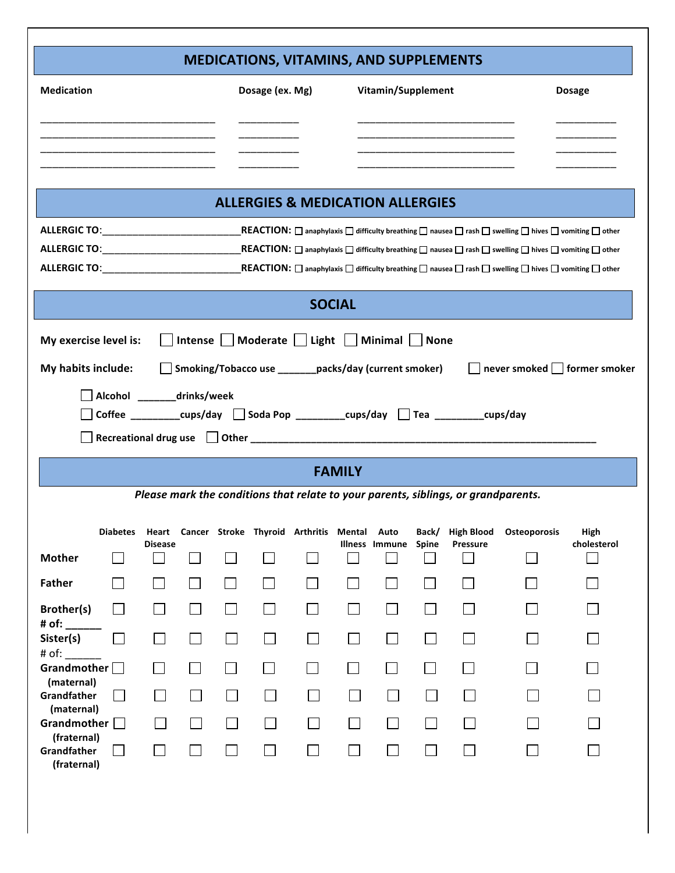## **MEDICATIONS, VITAMINS, AND SUPPLEMENTS**

!!!!!!!!!!!!!!!!!!!!

| <b>Medication</b>                               |                                                                                      |                |        |        | Dosage (ex. Mg) |                                                       |               | Vitamin/Supplement   |        |                                                                                    |                                                                                                                                                             | <b>Dosage</b>              |
|-------------------------------------------------|--------------------------------------------------------------------------------------|----------------|--------|--------|-----------------|-------------------------------------------------------|---------------|----------------------|--------|------------------------------------------------------------------------------------|-------------------------------------------------------------------------------------------------------------------------------------------------------------|----------------------------|
|                                                 |                                                                                      |                |        |        |                 |                                                       |               |                      |        |                                                                                    |                                                                                                                                                             |                            |
|                                                 |                                                                                      |                |        |        |                 |                                                       |               |                      |        |                                                                                    |                                                                                                                                                             |                            |
|                                                 |                                                                                      |                |        |        |                 | <b>ALLERGIES &amp; MEDICATION ALLERGIES</b>           |               |                      |        |                                                                                    |                                                                                                                                                             |                            |
| <b>ALLERGIC TO:</b>                             |                                                                                      |                |        |        |                 |                                                       |               |                      |        |                                                                                    | $\mathsf{REACTION} \colon \Box$ anaphylaxis $\Box$ difficulty breathing $\Box$ nausea $\Box$ rash $\Box$ swelling $\Box$ hives $\Box$ comiting $\Box$ other |                            |
|                                                 |                                                                                      |                |        |        |                 |                                                       |               |                      |        |                                                                                    | REACTION: $\Box$ anaphylaxis $\Box$ difficulty breathing $\Box$ nausea $\Box$ rash $\Box$ swelling $\Box$ hives $\Box$ vomiting $\Box$ other                |                            |
|                                                 |                                                                                      |                |        |        |                 |                                                       |               |                      |        |                                                                                    |                                                                                                                                                             |                            |
|                                                 |                                                                                      |                |        |        |                 |                                                       | <b>SOCIAL</b> |                      |        |                                                                                    |                                                                                                                                                             |                            |
| My exercise level is:                           |                                                                                      |                |        |        |                 | Intense Moderate Light   Minimal   None               |               |                      |        |                                                                                    |                                                                                                                                                             |                            |
| My habits include:                              |                                                                                      |                |        |        |                 | Smoking/Tobacco use _______packs/day (current smoker) |               |                      |        |                                                                                    |                                                                                                                                                             | never smoked former smoker |
|                                                 | Alcohol _______drinks/week                                                           |                |        |        |                 |                                                       |               |                      |        |                                                                                    |                                                                                                                                                             |                            |
|                                                 | Coffee _________cups/day $\Box$ Soda Pop ________cups/day $\Box$ Tea _______cups/day |                |        |        |                 |                                                       |               |                      |        |                                                                                    |                                                                                                                                                             |                            |
|                                                 |                                                                                      |                |        |        |                 |                                                       |               |                      |        |                                                                                    |                                                                                                                                                             |                            |
|                                                 |                                                                                      |                |        |        |                 |                                                       |               |                      |        |                                                                                    |                                                                                                                                                             |                            |
|                                                 |                                                                                      |                |        |        |                 |                                                       | <b>FAMILY</b> |                      |        |                                                                                    |                                                                                                                                                             |                            |
|                                                 |                                                                                      |                |        |        |                 |                                                       |               |                      |        | Please mark the conditions that relate to your parents, siblings, or grandparents. |                                                                                                                                                             |                            |
|                                                 | <b>Diabetes</b>                                                                      | Heart          |        |        |                 | Cancer Stroke Thyroid Arthritis Mental Auto           |               |                      | Back/  | <b>High Blood</b>                                                                  | Osteoporosis                                                                                                                                                | High                       |
| <b>Mother</b>                                   |                                                                                      | <b>Disease</b> |        |        |                 |                                                       |               | Illness Immune Spine |        | Pressure                                                                           |                                                                                                                                                             | cholesterol                |
| <b>Father</b>                                   |                                                                                      |                |        |        |                 |                                                       |               |                      |        |                                                                                    |                                                                                                                                                             |                            |
| Brother(s)                                      |                                                                                      |                | $\Box$ | $\Box$ | $\Box$          |                                                       |               | $\blacksquare$       | $\sim$ |                                                                                    |                                                                                                                                                             |                            |
| # of:<br>Sister(s)                              | $\sim$                                                                               |                | $\sim$ |        | $\mathsf{L}$    |                                                       |               |                      |        |                                                                                    |                                                                                                                                                             |                            |
| # of:<br>Grandmother [                          |                                                                                      |                |        |        |                 |                                                       |               |                      |        |                                                                                    |                                                                                                                                                             |                            |
| (maternal)<br>Grandfather                       |                                                                                      |                |        |        |                 |                                                       |               |                      |        |                                                                                    |                                                                                                                                                             |                            |
| (maternal)<br>Grandmother $\Box$<br>(fraternal) |                                                                                      |                |        |        |                 |                                                       |               |                      |        |                                                                                    |                                                                                                                                                             |                            |